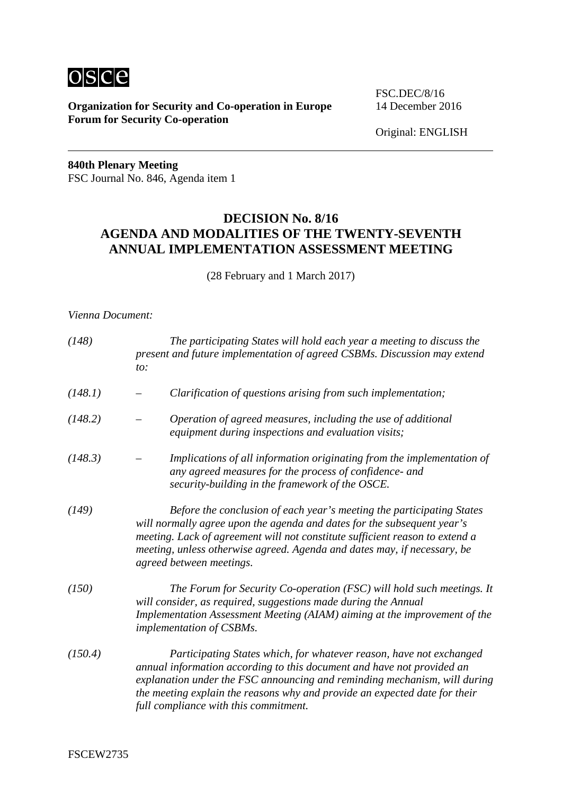

**Organization for Security and Co-operation in Europe** 14 December 2016 **Forum for Security Co-operation**

FSC.DEC/8/16

Original: ENGLISH

**840th Plenary Meeting** FSC Journal No. 846, Agenda item 1

### **DECISION No. 8/16 AGENDA AND MODALITIES OF THE TWENTY-SEVENTH ANNUAL IMPLEMENTATION ASSESSMENT MEETING**

(28 February and 1 March 2017)

#### *Vienna Document:*

| (148)   | The participating States will hold each year a meeting to discuss the<br>present and future implementation of agreed CSBMs. Discussion may extend<br>to:                                                                                                                                                                                          |  |  |  |
|---------|---------------------------------------------------------------------------------------------------------------------------------------------------------------------------------------------------------------------------------------------------------------------------------------------------------------------------------------------------|--|--|--|
| (148.1) | Clarification of questions arising from such implementation;                                                                                                                                                                                                                                                                                      |  |  |  |
| (148.2) | Operation of agreed measures, including the use of additional<br>equipment during inspections and evaluation visits;                                                                                                                                                                                                                              |  |  |  |
| (148.3) | Implications of all information originating from the implementation of<br>any agreed measures for the process of confidence- and<br>security-building in the framework of the OSCE.                                                                                                                                                               |  |  |  |
| (149)   | Before the conclusion of each year's meeting the participating States<br>will normally agree upon the agenda and dates for the subsequent year's<br>meeting. Lack of agreement will not constitute sufficient reason to extend a<br>meeting, unless otherwise agreed. Agenda and dates may, if necessary, be<br>agreed between meetings.          |  |  |  |
| (150)   | The Forum for Security Co-operation (FSC) will hold such meetings. It<br>will consider, as required, suggestions made during the Annual<br>Implementation Assessment Meeting (AIAM) aiming at the improvement of the<br>implementation of CSBMs.                                                                                                  |  |  |  |
| (150.4) | Participating States which, for whatever reason, have not exchanged<br>annual information according to this document and have not provided an<br>explanation under the FSC announcing and reminding mechanism, will during<br>the meeting explain the reasons why and provide an expected date for their<br>full compliance with this commitment. |  |  |  |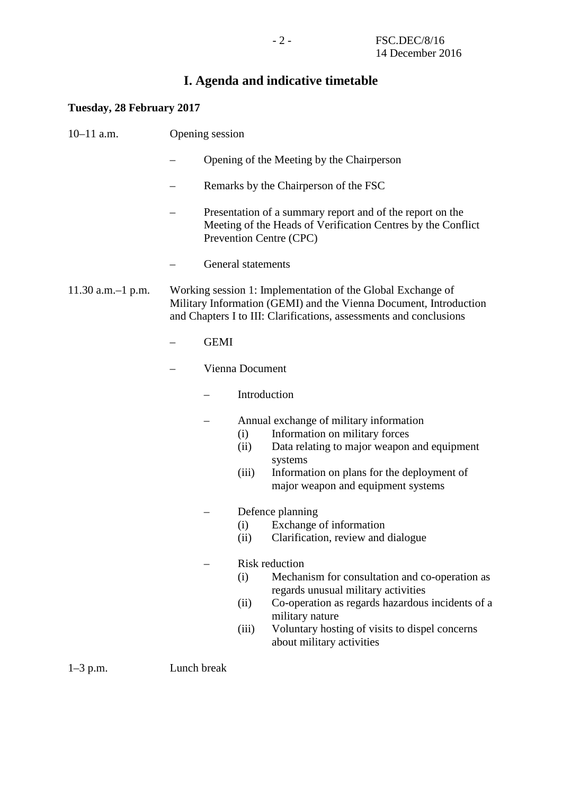# **I. Agenda and indicative timetable**

## **Tuesday, 28 February 2017**

| $10-11$ a.m.                                                                                                                                                                                                                     | Opening session |                                                                                                                                                      |                      |                                                                                                                                                                                                                                             |  |
|----------------------------------------------------------------------------------------------------------------------------------------------------------------------------------------------------------------------------------|-----------------|------------------------------------------------------------------------------------------------------------------------------------------------------|----------------------|---------------------------------------------------------------------------------------------------------------------------------------------------------------------------------------------------------------------------------------------|--|
|                                                                                                                                                                                                                                  |                 |                                                                                                                                                      |                      | Opening of the Meeting by the Chairperson                                                                                                                                                                                                   |  |
|                                                                                                                                                                                                                                  |                 |                                                                                                                                                      |                      | Remarks by the Chairperson of the FSC                                                                                                                                                                                                       |  |
|                                                                                                                                                                                                                                  |                 | Presentation of a summary report and of the report on the<br>Meeting of the Heads of Verification Centres by the Conflict<br>Prevention Centre (CPC) |                      |                                                                                                                                                                                                                                             |  |
|                                                                                                                                                                                                                                  |                 |                                                                                                                                                      | General statements   |                                                                                                                                                                                                                                             |  |
| Working session 1: Implementation of the Global Exchange of<br>$11.30$ a.m. $-1$ p.m.<br>Military Information (GEMI) and the Vienna Document, Introduction<br>and Chapters I to III: Clarifications, assessments and conclusions |                 |                                                                                                                                                      |                      |                                                                                                                                                                                                                                             |  |
|                                                                                                                                                                                                                                  |                 | <b>GEMI</b>                                                                                                                                          |                      |                                                                                                                                                                                                                                             |  |
|                                                                                                                                                                                                                                  |                 |                                                                                                                                                      | Vienna Document      |                                                                                                                                                                                                                                             |  |
|                                                                                                                                                                                                                                  |                 |                                                                                                                                                      | Introduction         |                                                                                                                                                                                                                                             |  |
|                                                                                                                                                                                                                                  |                 |                                                                                                                                                      | (i)<br>(ii)<br>(iii) | Annual exchange of military information<br>Information on military forces<br>Data relating to major weapon and equipment<br>systems<br>Information on plans for the deployment of<br>major weapon and equipment systems                     |  |
|                                                                                                                                                                                                                                  |                 |                                                                                                                                                      | (i)<br>(ii)          | Defence planning<br>Exchange of information<br>Clarification, review and dialogue<br><b>Risk reduction</b>                                                                                                                                  |  |
|                                                                                                                                                                                                                                  |                 |                                                                                                                                                      | (i)<br>(ii)<br>(iii) | Mechanism for consultation and co-operation as<br>regards unusual military activities<br>Co-operation as regards hazardous incidents of a<br>military nature<br>Voluntary hosting of visits to dispel concerns<br>about military activities |  |

1–3 p.m. Lunch break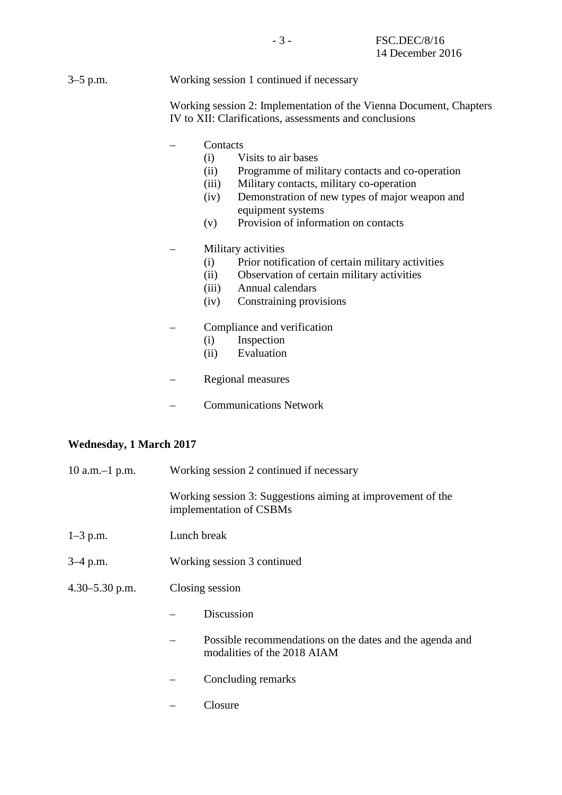#### 3–5 p.m. Working session 1 continued if necessary

Working session 2: Implementation of the Vienna Document, Chapters IV to XII: Clarifications, assessments and conclusions

- Contacts
	- (i) Visits to air bases
	- (ii) Programme of military contacts and co-operation
	- (iii) Military contacts, military co-operation
	- (iv) Demonstration of new types of major weapon and equipment systems
	- (v) Provision of information on contacts

#### – Military activities

- (i) Prior notification of certain military activities
- (ii) Observation of certain military activities
- (iii) Annual calendars
- (iv) Constraining provisions
- Compliance and verification
	- (i) Inspection
	- (ii) Evaluation
- Regional measures
- Communications Network

#### **Wednesday, 1 March 2017**

| $10$ a.m. $-1$ p.m. | Working session 2 continued if necessary |                                                                                         |  |  |  |  |
|---------------------|------------------------------------------|-----------------------------------------------------------------------------------------|--|--|--|--|
|                     |                                          | Working session 3: Suggestions aiming at improvement of the<br>implementation of CSBMs  |  |  |  |  |
| $1 - 3$ p.m.        | Lunch break                              |                                                                                         |  |  |  |  |
| $3-4$ p.m.          |                                          | Working session 3 continued                                                             |  |  |  |  |
| $4.30 - 5.30$ p.m.  | Closing session                          |                                                                                         |  |  |  |  |
|                     |                                          | Discussion                                                                              |  |  |  |  |
|                     |                                          | Possible recommendations on the dates and the agenda and<br>modalities of the 2018 AIAM |  |  |  |  |
|                     |                                          | Concluding remarks                                                                      |  |  |  |  |

– Closure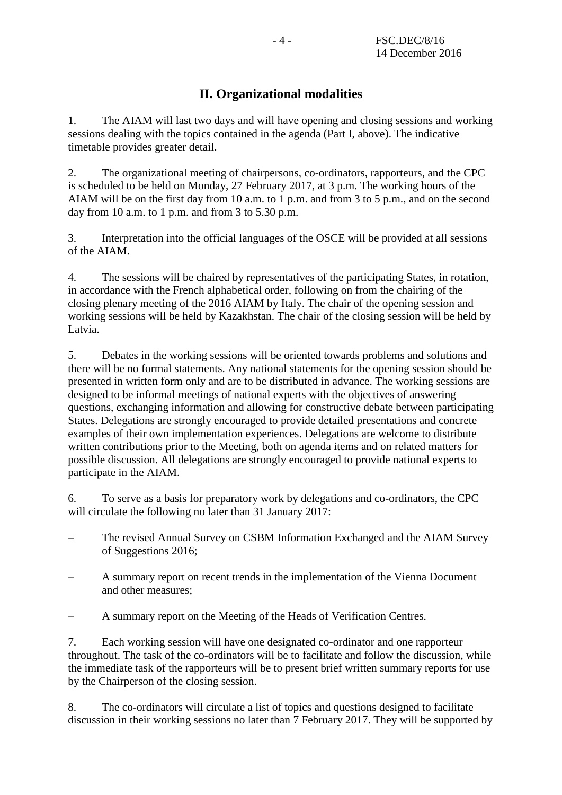## **II. Organizational modalities**

1. The AIAM will last two days and will have opening and closing sessions and working sessions dealing with the topics contained in the agenda (Part I, above). The indicative timetable provides greater detail.

2. The organizational meeting of chairpersons, co-ordinators, rapporteurs, and the CPC is scheduled to be held on Monday, 27 February 2017, at 3 p.m. The working hours of the AIAM will be on the first day from 10 a.m. to 1 p.m. and from 3 to 5 p.m., and on the second day from 10 a.m. to 1 p.m. and from 3 to 5.30 p.m.

3. Interpretation into the official languages of the OSCE will be provided at all sessions of the AIAM.

4. The sessions will be chaired by representatives of the participating States, in rotation, in accordance with the French alphabetical order, following on from the chairing of the closing plenary meeting of the 2016 AIAM by Italy. The chair of the opening session and working sessions will be held by Kazakhstan. The chair of the closing session will be held by Latvia.

5. Debates in the working sessions will be oriented towards problems and solutions and there will be no formal statements. Any national statements for the opening session should be presented in written form only and are to be distributed in advance. The working sessions are designed to be informal meetings of national experts with the objectives of answering questions, exchanging information and allowing for constructive debate between participating States. Delegations are strongly encouraged to provide detailed presentations and concrete examples of their own implementation experiences. Delegations are welcome to distribute written contributions prior to the Meeting, both on agenda items and on related matters for possible discussion. All delegations are strongly encouraged to provide national experts to participate in the AIAM.

6. To serve as a basis for preparatory work by delegations and co-ordinators, the CPC will circulate the following no later than 31 January 2017:

- The revised Annual Survey on CSBM Information Exchanged and the AIAM Survey of Suggestions 2016;
- A summary report on recent trends in the implementation of the Vienna Document and other measures;
- A summary report on the Meeting of the Heads of Verification Centres.

7. Each working session will have one designated co-ordinator and one rapporteur throughout. The task of the co-ordinators will be to facilitate and follow the discussion, while the immediate task of the rapporteurs will be to present brief written summary reports for use by the Chairperson of the closing session.

8. The co-ordinators will circulate a list of topics and questions designed to facilitate discussion in their working sessions no later than 7 February 2017. They will be supported by